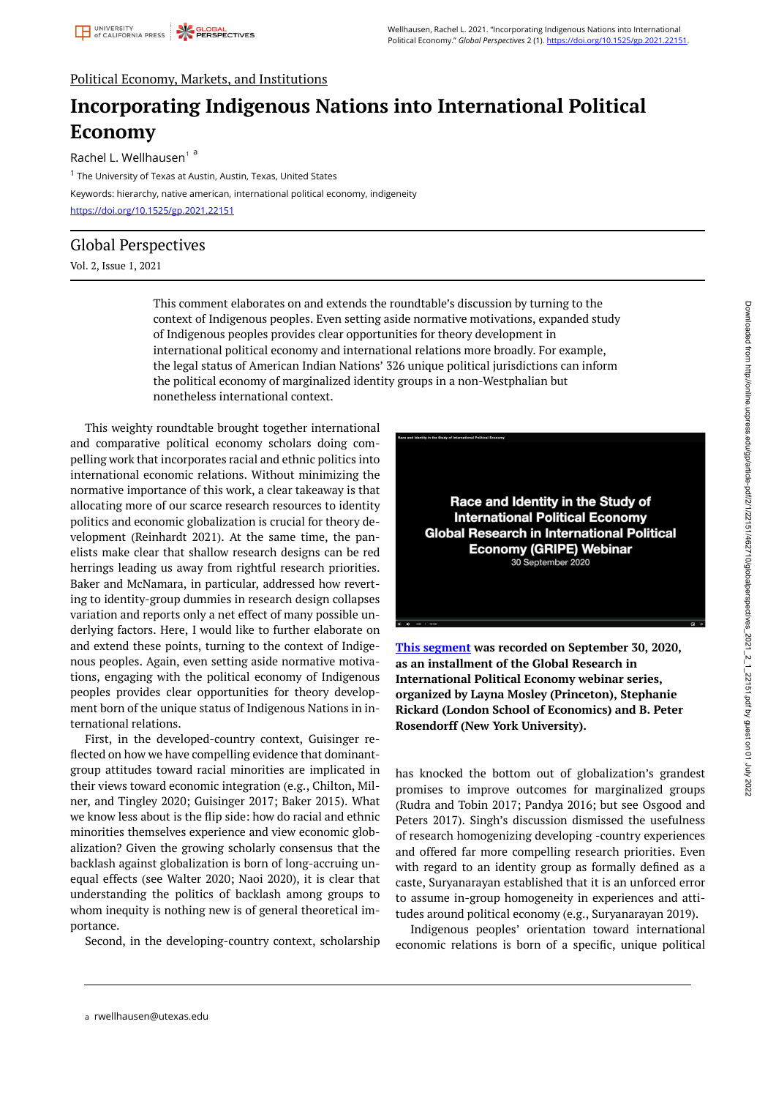## Political Economy, Markets, and Institutions

# **Incorporating Indigenous Nations into International Political Economy**

Rachel L. Wellhausen<sup>1</sup>a

<sup>1</sup> The University of Texas at Austin, Austin, Texas, United States Keywords: hierarchy, native american, international political economy, indigeneity <https://doi.org/10.1525/gp.2021.22151>

### Global Perspectives

Vol. 2, Issue 1, 2021

This comment elaborates on and extends the roundtable's discussion by turning to the context of Indigenous peoples. Even setting aside normative motivations, expanded study of Indigenous peoples provides clear opportunities for theory development in international political economy and international relations more broadly. For example, the legal status of American Indian Nations' 326 unique political jurisdictions can inform the political economy of marginalized identity groups in a non-Westphalian but nonetheless international context.

This weighty roundtable brought together international and comparative political economy scholars doing compelling work that incorporates racial and ethnic politics into international economic relations. Without minimizing the normative importance of this work, a clear takeaway is that allocating more of our scarce research resources to identity politics and economic globalization is crucial for theory development (Reinhardt 2021). At the same time, the panelists make clear that shallow research designs can be red herrings leading us away from rightful research priorities. Baker and McNamara, in particular, addressed how reverting to identity-group dummies in research design collapses variation and reports only a net effect of many possible underlying factors. Here, I would like to further elaborate on and extend these points, turning to the context of Indigenous peoples. Again, even setting aside normative motivations, engaging with the political economy of Indigenous peoples provides clear opportunities for theory development born of the unique status of Indigenous Nations in international relations.

First, in the developed-country context, Guisinger reflected on how we have compelling evidence that dominantgroup attitudes toward racial minorities are implicated in their views toward economic integration (e.g., Chilton, Milner, and Tingley 2020; Guisinger 2017; Baker 2015). What we know less about is the flip side: how do racial and ethnic minorities themselves experience and view economic globalization? Given the growing scholarly consensus that the backlash against globalization is born of long-accruing unequal effects (see Walter 2020; Naoi 2020), it is clear that understanding the politics of backlash among groups to whom inequity is nothing new is of general theoretical importance.

Second, in the developing-country context, scholarship



**[This segment](https://players.brightcove.net/3906942878001/jYz8ZSef_default/index.html?videoId=6246332763001) was recorded on September 30, 2020, as an installment of the Global Research in International Political Economy webinar series, organized by Layna Mosley (Princeton), Stephanie Rickard (London School of Economics) and B. Peter Rosendorff (New York University).** 

has knocked the bottom out of globalization's grandest promises to improve outcomes for marginalized groups (Rudra and Tobin 2017; Pandya 2016; but see Osgood and Peters 2017). Singh's discussion dismissed the usefulness of research homogenizing developing -country experiences and offered far more compelling research priorities. Even with regard to an identity group as formally defined as a caste, Suryanarayan established that it is an unforced error to assume in-group homogeneity in experiences and attitudes around political economy (e.g., Suryanarayan 2019).

Indigenous peoples' orientation toward international economic relations is born of a specific, unique political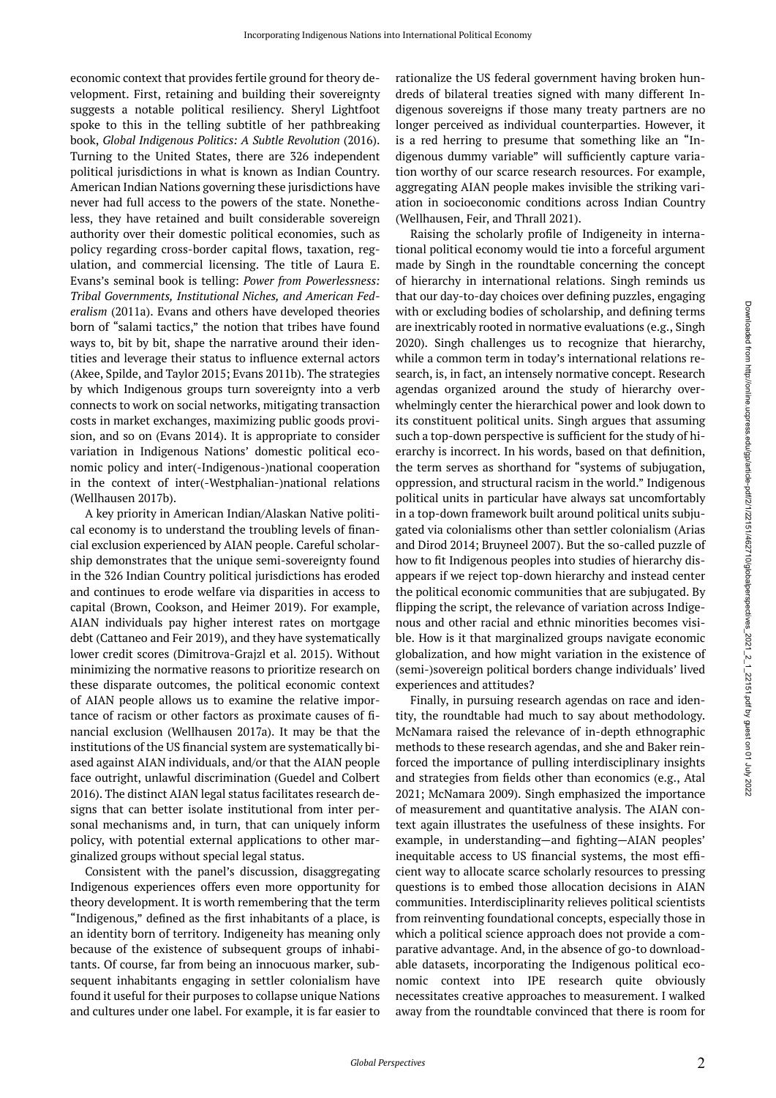economic context that provides fertile ground for theory development. First, retaining and building their sovereignty suggests a notable political resiliency. Sheryl Lightfoot spoke to this in the telling subtitle of her pathbreaking book, *Global Indigenous Politics: A Subtle Revolution* (2016). Turning to the United States, there are 326 independent political jurisdictions in what is known as Indian Country. American Indian Nations governing these jurisdictions have never had full access to the powers of the state. Nonetheless, they have retained and built considerable sovereign authority over their domestic political economies, such as policy regarding cross-border capital flows, taxation, regulation, and commercial licensing. The title of Laura E. Evans's seminal book is telling: *Power from Powerlessness: Tribal Governments, Institutional Niches, and American Federalism* (2011a). Evans and others have developed theories born of "salami tactics," the notion that tribes have found ways to, bit by bit, shape the narrative around their identities and leverage their status to influence external actors (Akee, Spilde, and Taylor 2015; Evans 2011b). The strategies by which Indigenous groups turn sovereignty into a verb connects to work on social networks, mitigating transaction costs in market exchanges, maximizing public goods provision, and so on (Evans 2014). It is appropriate to consider variation in Indigenous Nations' domestic political economic policy and inter(-Indigenous-)national cooperation in the context of inter(-Westphalian-)national relations (Wellhausen 2017b).

A key priority in American Indian/Alaskan Native political economy is to understand the troubling levels of financial exclusion experienced by AIAN people. Careful scholarship demonstrates that the unique semi-sovereignty found in the 326 Indian Country political jurisdictions has eroded and continues to erode welfare via disparities in access to capital (Brown, Cookson, and Heimer 2019). For example, AIAN individuals pay higher interest rates on mortgage debt (Cattaneo and Feir 2019), and they have systematically lower credit scores (Dimitrova-Grajzl et al. 2015). Without minimizing the normative reasons to prioritize research on these disparate outcomes, the political economic context of AIAN people allows us to examine the relative importance of racism or other factors as proximate causes of financial exclusion (Wellhausen 2017a). It may be that the institutions of the US financial system are systematically biased against AIAN individuals, and/or that the AIAN people face outright, unlawful discrimination (Guedel and Colbert 2016). The distinct AIAN legal status facilitates research designs that can better isolate institutional from inter personal mechanisms and, in turn, that can uniquely inform policy, with potential external applications to other marginalized groups without special legal status.

Consistent with the panel's discussion, disaggregating Indigenous experiences offers even more opportunity for theory development. It is worth remembering that the term "Indigenous," defined as the first inhabitants of a place, is an identity born of territory. Indigeneity has meaning only because of the existence of subsequent groups of inhabitants. Of course, far from being an innocuous marker, subsequent inhabitants engaging in settler colonialism have found it useful for their purposes to collapse unique Nations and cultures under one label. For example, it is far easier to

rationalize the US federal government having broken hundreds of bilateral treaties signed with many different Indigenous sovereigns if those many treaty partners are no longer perceived as individual counterparties. However, it is a red herring to presume that something like an "Indigenous dummy variable" will sufficiently capture variation worthy of our scarce research resources. For example, aggregating AIAN people makes invisible the striking variation in socioeconomic conditions across Indian Country (Wellhausen, Feir, and Thrall 2021).

Raising the scholarly profile of Indigeneity in international political economy would tie into a forceful argument made by Singh in the roundtable concerning the concept of hierarchy in international relations. Singh reminds us that our day-to-day choices over defining puzzles, engaging with or excluding bodies of scholarship, and defining terms are inextricably rooted in normative evaluations (e.g., Singh 2020). Singh challenges us to recognize that hierarchy, while a common term in today's international relations research, is, in fact, an intensely normative concept. Research agendas organized around the study of hierarchy overwhelmingly center the hierarchical power and look down to its constituent political units. Singh argues that assuming such a top-down perspective is sufficient for the study of hierarchy is incorrect. In his words, based on that definition, the term serves as shorthand for "systems of subjugation, oppression, and structural racism in the world." Indigenous political units in particular have always sat uncomfortably in a top-down framework built around political units subjugated via colonialisms other than settler colonialism (Arias and Dirod 2014; Bruyneel 2007). But the so-called puzzle of how to fit Indigenous peoples into studies of hierarchy disappears if we reject top-down hierarchy and instead center the political economic communities that are subjugated. By flipping the script, the relevance of variation across Indigenous and other racial and ethnic minorities becomes visible. How is it that marginalized groups navigate economic globalization, and how might variation in the existence of (semi-)sovereign political borders change individuals' lived experiences and attitudes?

Finally, in pursuing research agendas on race and identity, the roundtable had much to say about methodology. McNamara raised the relevance of in-depth ethnographic methods to these research agendas, and she and Baker reinforced the importance of pulling interdisciplinary insights and strategies from fields other than economics (e.g., Atal 2021; McNamara 2009). Singh emphasized the importance of measurement and quantitative analysis. The AIAN context again illustrates the usefulness of these insights. For example, in understanding—and fighting—AIAN peoples' inequitable access to US financial systems, the most efficient way to allocate scarce scholarly resources to pressing questions is to embed those allocation decisions in AIAN communities. Interdisciplinarity relieves political scientists from reinventing foundational concepts, especially those in which a political science approach does not provide a comparative advantage. And, in the absence of go-to downloadable datasets, incorporating the Indigenous political economic context into IPE research quite obviously necessitates creative approaches to measurement. I walked away from the roundtable convinced that there is room for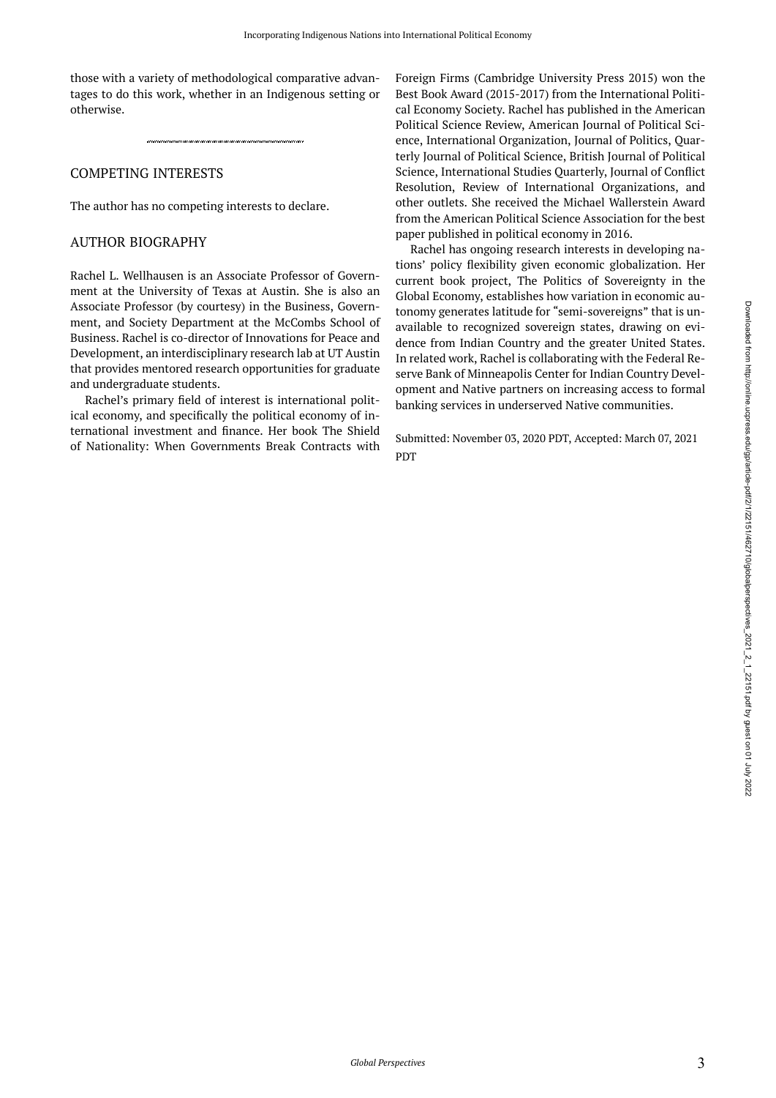those with a variety of methodological comparative advantages to do this work, whether in an Indigenous setting or otherwise.

#### COMPETING INTERESTS

The author has no competing interests to declare.

#### AUTHOR BIOGRAPHY

Rachel L. Wellhausen is an Associate Professor of Government at the University of Texas at Austin. She is also an Associate Professor (by courtesy) in the Business, Government, and Society Department at the McCombs School of Business. Rachel is co-director of Innovations for Peace and Development, an interdisciplinary research lab at UT Austin that provides mentored research opportunities for graduate and undergraduate students.

Rachel's primary field of interest is international political economy, and specifically the political economy of international investment and finance. Her book The Shield of Nationality: When Governments Break Contracts with

Foreign Firms (Cambridge University Press 2015) won the Best Book Award (2015-2017) from the International Political Economy Society. Rachel has published in the American Political Science Review, American Journal of Political Science, International Organization, Journal of Politics, Quarterly Journal of Political Science, British Journal of Political Science, International Studies Quarterly, Journal of Conflict Resolution, Review of International Organizations, and other outlets. She received the Michael Wallerstein Award from the American Political Science Association for the best paper published in political economy in 2016.

Rachel has ongoing research interests in developing nations' policy flexibility given economic globalization. Her current book project, The Politics of Sovereignty in the Global Economy, establishes how variation in economic autonomy generates latitude for "semi-sovereigns" that is unavailable to recognized sovereign states, drawing on evidence from Indian Country and the greater United States. In related work, Rachel is collaborating with the Federal Reserve Bank of Minneapolis Center for Indian Country Development and Native partners on increasing access to formal banking services in underserved Native communities.

Submitted: November 03, 2020 PDT, Accepted: March 07, 2021 **PDT**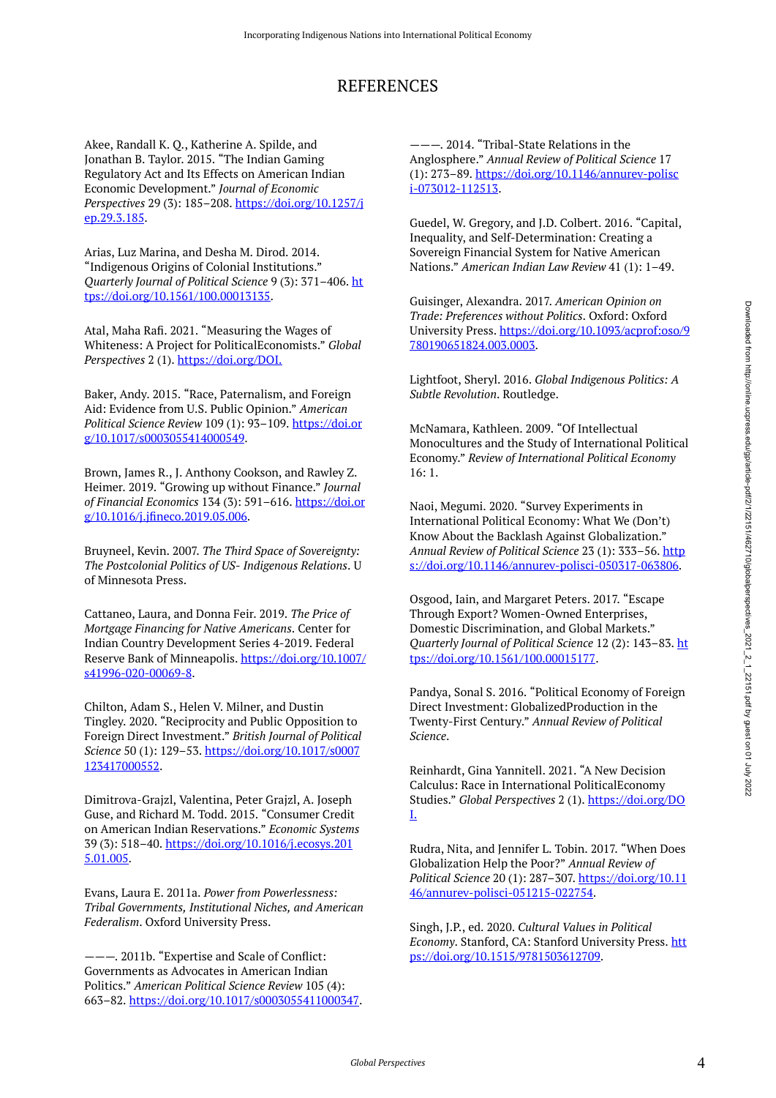# REFERENCES

Akee, Randall K. Q., Katherine A. Spilde, and Jonathan B. Taylor. 2015. "The Indian Gaming Regulatory Act and Its Effects on American Indian Economic Development." *Journal of Economic Perspectives* 29 (3): 185–208. [https://doi.org/10.1257/j](https://doi.org/10.1257/jep.29.3.185) [ep.29.3.185.](https://doi.org/10.1257/jep.29.3.185)

Arias, Luz Marina, and Desha M. Dirod. 2014. "Indigenous Origins of Colonial Institutions." *Quarterly Journal of Political Science* 9 (3): 371–406. [ht](https://doi.org/10.1561/100.00013135) [tps://doi.org/10.1561/100.00013135](https://doi.org/10.1561/100.00013135).

Atal, Maha Rafi. 2021. "Measuring the Wages of Whiteness: A Project for PoliticalEconomists." *Global Perspectives* 2 (1).<https://doi.org/DOI.>

Baker, Andy. 2015. "Race, Paternalism, and Foreign Aid: Evidence from U.S. Public Opinion." *American Political Science Review* 109 (1): 93–109. [https://doi.or](https://doi.org/10.1017/s0003055414000549) [g/10.1017/s0003055414000549.](https://doi.org/10.1017/s0003055414000549)

Brown, James R., J. Anthony Cookson, and Rawley Z. Heimer. 2019. "Growing up without Finance." *Journal of Financial Economics* 134 (3): 591–616. [https://doi.or](https://doi.org/10.1016/j.jfineco.2019.05.006) [g/10.1016/j.jfineco.2019.05.006.](https://doi.org/10.1016/j.jfineco.2019.05.006)

Bruyneel, Kevin. 2007. *The Third Space of Sovereignty: The Postcolonial Politics of US- Indigenous Relations*. U of Minnesota Press.

Cattaneo, Laura, and Donna Feir. 2019. *The Price of Mortgage Financing for Native Americans*. Center for Indian Country Development Series 4-2019. Federal Reserve Bank of Minneapolis. [https://doi.org/10.1007/](https://doi.org/10.1007/s41996-020-00069-8) [s41996-020-00069-8](https://doi.org/10.1007/s41996-020-00069-8).

Chilton, Adam S., Helen V. Milner, and Dustin Tingley. 2020. "Reciprocity and Public Opposition to Foreign Direct Investment." *British Journal of Political Science* 50 (1): 129–53. [https://doi.org/10.1017/s0007](https://doi.org/10.1017/s0007123417000552) [123417000552](https://doi.org/10.1017/s0007123417000552).

Dimitrova-Grajzl, Valentina, Peter Grajzl, A. Joseph Guse, and Richard M. Todd. 2015. "Consumer Credit on American Indian Reservations." *Economic Systems*  39 (3): 518–40. [https://doi.org/10.1016/j.ecosys.201](https://doi.org/10.1016/j.ecosys.2015.01.005) [5.01.005.](https://doi.org/10.1016/j.ecosys.2015.01.005)

Evans, Laura E. 2011a. *Power from Powerlessness: Tribal Governments, Institutional Niches, and American Federalism*. Oxford University Press.

———. 2011b. "Expertise and Scale of Conflict: Governments as Advocates in American Indian Politics." *American Political Science Review* 105 (4): 663–82. [https://doi.org/10.1017/s0003055411000347.](https://doi.org/10.1017/s0003055411000347)

———. 2014. "Tribal-State Relations in the Anglosphere." *Annual Review of Political Science* 17 (1): 273–89. [https://doi.org/10.1146/annurev-polisc](https://doi.org/10.1146/annurev-polisci-073012-112513) [i-073012-112513](https://doi.org/10.1146/annurev-polisci-073012-112513).

Guedel, W. Gregory, and J.D. Colbert. 2016. "Capital, Inequality, and Self-Determination: Creating a Sovereign Financial System for Native American Nations." *American Indian Law Review* 41 (1): 1–49.

Guisinger, Alexandra. 2017. *American Opinion on Trade: Preferences without Politics*. Oxford: Oxford University Press. [https://doi.org/10.1093/acprof:oso/9](https://doi.org/10.1093/acprof:oso/9780190651824.003.0003) [780190651824.003.0003.](https://doi.org/10.1093/acprof:oso/9780190651824.003.0003)

Lightfoot, Sheryl. 2016. *Global Indigenous Politics: A Subtle Revolution*. Routledge.

McNamara, Kathleen. 2009. "Of Intellectual Monocultures and the Study of International Political Economy." *Review of International Political Economy*  16: 1.

Naoi, Megumi. 2020. "Survey Experiments in International Political Economy: What We (Don't) Know About the Backlash Against Globalization." *Annual Review of Political Science* 23 (1): 333–56. [http](https://doi.org/10.1146/annurev-polisci-050317-063806) [s://doi.org/10.1146/annurev-polisci-050317-063806.](https://doi.org/10.1146/annurev-polisci-050317-063806)

Osgood, Iain, and Margaret Peters. 2017. "Escape Through Export? Women-Owned Enterprises, Domestic Discrimination, and Global Markets." *Quarterly Journal of Political Science* 12 (2): 143–83. [ht](https://doi.org/10.1561/100.00015177) [tps://doi.org/10.1561/100.00015177](https://doi.org/10.1561/100.00015177).

Pandya, Sonal S. 2016. "Political Economy of Foreign Direct Investment: GlobalizedProduction in the Twenty-First Century." *Annual Review of Political Science*.

Reinhardt, Gina Yannitell. 2021. "A New Decision Calculus: Race in International PoliticalEconomy Studies." *Global Perspectives* 2 (1). [https://doi.org/DO](https://doi.org/DOI.) [I.](https://doi.org/DOI.)

Rudra, Nita, and Jennifer L. Tobin. 2017. "When Does Globalization Help the Poor?" *Annual Review of Political Science* 20 (1): 287–307. [https://doi.org/10.11](https://doi.org/10.1146/annurev-polisci-051215-022754) [46/annurev-polisci-051215-022754](https://doi.org/10.1146/annurev-polisci-051215-022754).

Singh, J.P., ed. 2020. *Cultural Values in Political Economy*. Stanford, CA: Stanford University Press. [htt](https://doi.org/10.1515/9781503612709) [ps://doi.org/10.1515/9781503612709.](https://doi.org/10.1515/9781503612709)